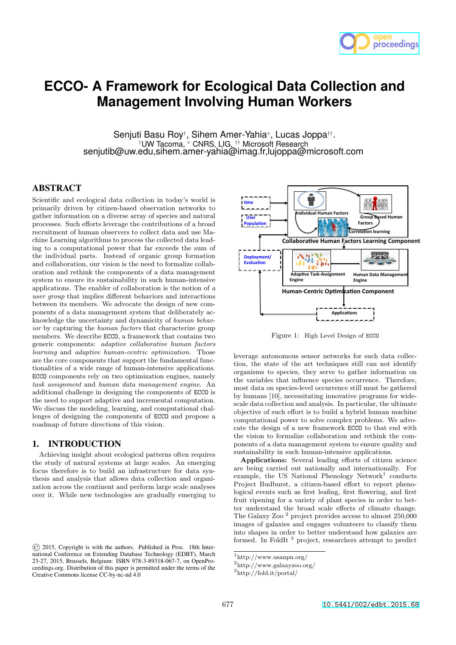

# **ECCO- A Framework for Ecological Data Collection and Management Involving Human Workers**

Senjuti Basu Roy†, Sihem Amer-Yahia<sup>®</sup>, Lucas Joppa††. †UW Tacoma, ⇧ CNRS, LIG, †† Microsoft Research senjutib@uw.edu,sihem.amer-yahia@imag.fr,lujoppa@microsoft.com

## ABSTRACT

Scientific and ecological data collection in today's world is primarily driven by citizen-based observation networks to gather information on a diverse array of species and natural processes. Such efforts leverage the contributions of a broad recruitment of human observers to collect data and use Machine Learning algorithms to process the collected data leading to a computational power that far exceeds the sum of the individual parts. Instead of organic group formation and collaboration, our vision is the need to formalize collaboration and rethink the components of a data management system to ensure its sustainability in such human-intensive applications. The enabler of collaboration is the notion of a user group that implies different behaviors and interactions between its members. We advocate the design of new components of a data management system that deliberately acknowledge the uncertainty and dynamicity of human behavior by capturing the human factors that characterize group members. We describe ECCO, a framework that contains two generic components: adaptive collaborative human factors learning and adaptive human-centric optimization. Those are the core components that support the fundamental functionalities of a wide range of human-intensive applications. ECCO components rely on two optimization engines, namely task assignment and human data management engine. An additional challenge in designing the components of ECCO is the need to support adaptive and incremental computation. We discuss the modeling, learning, and computational challenges of designing the components of ECCO and propose a roadmap of future directions of this vision.

#### 1. INTRODUCTION

Achieving insight about ecological patterns often requires the study of natural systems at large scales. An emerging focus therefore is to build an infrastructure for data synthesis and analysis that allows data collection and organization across the continent and perform large scale analyses over it. While new technologies are gradually emerging to



Figure 1: High Level Design of ECCO

leverage autonomous sensor networks for such data collection, the state of the art techniques still can not identify organisms to species, they serve to gather information on the variables that influence species occurrence. Therefore, most data on species-level occurrence still must be gathered by humans [10], necessitating innovative programs for widescale data collection and analysis. In particular, the ultimate objective of such effort is to build a hybrid human machine computational power to solve complex problems. We advocate the design of a new framework ECCO to that end with the vision to formalize collaboration and rethink the components of a data management system to ensure quality and sustainability in such human-intensive applications.

Applications: Several leading efforts of citizen science are being carried out nationally and internationally. For example, the US National Phenology Network<sup>1</sup> conducts Project Budburst, a citizen-based effort to report phenological events such as first leafing, first flowering, and first fruit ripening for a variety of plant species in order to better understand the broad scale effects of climate change. The Galaxy Zoo<sup>2</sup> project provides access to almost 250,000 images of galaxies and engages volunteers to classify them into shapes in order to better understand how galaxies are formed. In FoldIt $^3$  project, researchers attempt to predict

2 http://www.galaxyzoo.org/

<sup>©</sup> 2015, Copyright is with the authors. Published in Proc. 18th International Conference on Extending Database Technology (EDBT), March 23-27, 2015, Brussels, Belgium: ISBN 978-3-89318-067-7, on OpenProceedings.org. Distribution of this paper is permitted under the terms of the Creative Commons license CC-by-nc-nd 4.0

<sup>1</sup> http://www.usanpn.org/

<sup>3</sup> http://fold.it/portal/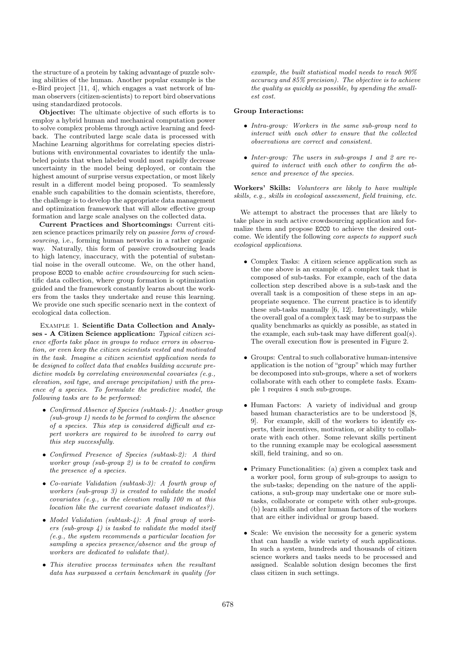the structure of a protein by taking advantage of puzzle solving abilities of the human. Another popular example is the e-Bird project [11, 4], which engages a vast network of human observers (citizen-scientists) to report bird observations using standardized protocols.

Objective: The ultimate objective of such efforts is to employ a hybrid human and mechanical computation power to solve complex problems through active learning and feedback. The contributed large scale data is processed with Machine Learning algorithms for correlating species distributions with environmental covariates to identify the unlabeled points that when labeled would most rapidly decrease uncertainty in the model being deployed, or contain the highest amount of surprise versus expectation, or most likely result in a different model being proposed. To seamlessly enable such capabilities to the domain scientists, therefore, the challenge is to develop the appropriate data management and optimization framework that will allow effective group formation and large scale analyses on the collected data.

Current Practices and Shortcomings: Current citizen science practices primarily rely on passive form of crowdsourcing, i.e., forming human networks in a rather organic way. Naturally, this form of passive crowdsourcing leads to high latency, inaccuracy, with the potential of substantial noise in the overall outcome. We, on the other hand, propose ECCO to enable active crowdsourcing for such scientific data collection, where group formation is optimization guided and the framework constantly learns about the workers from the tasks they undertake and reuse this learning. We provide one such specific scenario next in the context of ecological data collection.

Example 1. Scientific Data Collection and Analyses - A Citizen Science application: Typical citizen science efforts take place in groups to reduce errors in observation, or even keep the citizen scientists vested and motivated in the task. Imagine a citizen scientist application needs to be designed to collect data that enables building accurate predictive models by correlating environmental covariates (e.g., elevation, soil type, and average precipitation) with the presence of a species. To formulate the predictive model, the following tasks are to be performed:

- Confirmed Absence of Species (subtask-1): Another group (sub-group 1) needs to be formed to confirm the absence of a species. This step is considered difficult and expert workers are required to be involved to carry out this step successfully.
- Confirmed Presence of Species (subtask-2): A third worker group (sub-group 2) is to be created to confirm the presence of a species.
- Co-variate Validation (subtask-3): A fourth group of workers (sub-group 3) is created to validate the model covariates (e.g., is the elevation really 100 m at this location like the current covariate dataset indicates?).
- Model Validation (subtask-4): A final group of workers (sub-group  $\lambda$ ) is tasked to validate the model itself (e.g., the system recommends a particular location for sampling a species presence/absence and the group of workers are dedicated to validate that).
- This iterative process terminates when the resultant data has surpassed a certain benchmark in quality (for

example, the built statistical model needs to reach 90% accuracy and 85% precision). The objective is to achieve the quality as quickly as possible, by spending the smallest cost.

#### Group Interactions:

- Intra-group: Workers in the same sub-group need to interact with each other to ensure that the collected observations are correct and consistent.
- Inter-group: The users in sub-groups 1 and 2 are required to interact with each other to confirm the absence and presence of the species.

Workers' Skills: Volunteers are likely to have multiple skills, e.g., skills in ecological assessment, field training, etc.

We attempt to abstract the processes that are likely to take place in such active crowdsourcing application and formalize them and propose ECCO to achieve the desired outcome. We identify the following core aspects to support such ecological applications.

- Complex Tasks: A citizen science application such as the one above is an example of a complex task that is composed of sub-tasks. For example, each of the data collection step described above is a sub-task and the overall task is a composition of these steps in an appropriate sequence. The current practice is to identify these sub-tasks manually [6, 12]. Interestingly, while the overall goal of a complex task may be to surpass the quality benchmarks as quickly as possible, as stated in the example, each sub-task may have different goal(s). The overall execution flow is presented in Figure 2.
- Groups: Central to such collaborative human-intensive application is the notion of "group" which may further be decomposed into sub-groups, where a set of workers collaborate with each other to complete tasks. Example 1 requires 4 such sub-groups.
- Human Factors: A variety of individual and group based human characteristics are to be understood [8, 9]. For example, skill of the workers to identify experts, their incentives, motivation, or ability to collaborate with each other. Some relevant skills pertinent to the running example may be ecological assessment skill, field training, and so on.
- Primary Functionalities: (a) given a complex task and a worker pool, form group of sub-groups to assign to the sub-tasks; depending on the nature of the applications, a sub-group may undertake one or more subtasks, collaborate or compete with other sub-groups. (b) learn skills and other human factors of the workers that are either individual or group based.
- Scale: We envision the necessity for a generic system that can handle a wide variety of such applications. In such a system, hundreds and thousands of citizen science workers and tasks needs to be processed and assigned. Scalable solution design becomes the first class citizen in such settings.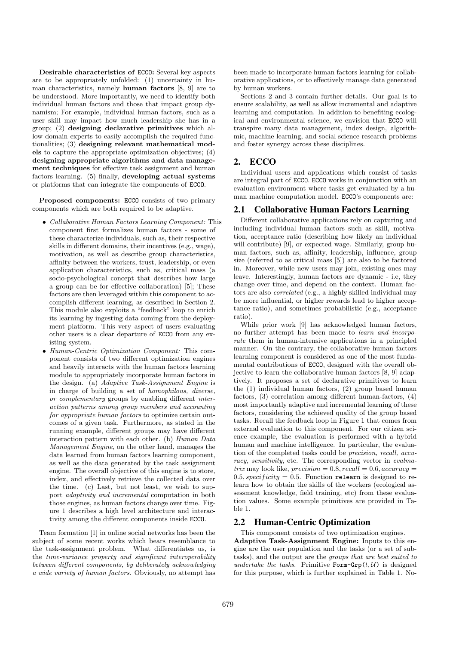Desirable characteristics of ECCO: Several key aspects are to be appropriately unfolded: (1) uncertainty in human characteristics, namely human factors [8, 9] are to be understood. More importantly, we need to identify both individual human factors and those that impact group dynamism; For example, individual human factors, such as a user skill may impact how much leadership she has in a group; (2) designing declarative primitives which allow domain experts to easily accomplish the required functionalities; (3) designing relevant mathematical models to capture the appropriate optimization objectives; (4) designing appropriate algorithms and data management techniques for effective task assignment and human factors learning. (5) finally, developing actual systems or platforms that can integrate the components of ECCO.

Proposed components: ECCO consists of two primary components which are both required to be adaptive.

- Collaborative Human Factors Learning Component: This component first formalizes human factors - some of these characterize individuals, such as, their respective skills in different domains, their incentives (e.g., wage), motivation, as well as describe group characteristics, affinity between the workers, trust, leadership, or even application characteristics, such as, critical mass (a socio-psychological concept that describes how large a group can be for effective collaboration) [5]; These factors are then leveraged within this component to accomplish different learning, as described in Section 2. This module also exploits a "feedback" loop to enrich its learning by ingesting data coming from the deployment platform. This very aspect of users evaluating other users is a clear departure of ECCO from any existing system.
- Human-Centric Optimization Component: This component consists of two different optimization engines and heavily interacts with the human factors learning module to appropriately incorporate human factors in the design. (a) Adaptive Task-Assignment Engine is in charge of building a set of homophilous, diverse, or complementary groups by enabling different interaction patterns among group members and accounting for appropriate human factors to optimize certain outcomes of a given task. Furthermore, as stated in the running example, different groups may have different interaction pattern with each other. (b) Human Data Management Engine, on the other hand, manages the data learned from human factors learning component, as well as the data generated by the task assignment engine. The overall objective of this engine is to store, index, and effectively retrieve the collected data over the time. (c) Last, but not least, we wish to support adaptivity and incremental computation in both those engines, as human factors change over time. Figure 1 describes a high level architecture and interactivity among the different components inside ECCO.

Team formation [1] in online social networks has been the subject of some recent works which bears resemblance to the task-assignment problem. What differentiates us, is the time-variance property and significant interoperability between different components, by deliberately acknowledging a wide variety of human factors. Obviously, no attempt has

been made to incorporate human factors learning for collaborative applications, or to effectively manage data generated by human workers.

Sections 2 and 3 contain further details. Our goal is to ensure scalability, as well as allow incremental and adaptive learning and computation. In addition to benefiting ecological and environmental science, we envision that ECCO will transpire many data management, index design, algorithmic, machine learning, and social science research problems and foster synergy across these disciplines.

## 2. ECCO

Individual users and applications which consist of tasks are integral part of ECCO. ECCO works in conjunction with an evaluation environment where tasks get evaluated by a human machine computation model. ECCO's components are:

#### 2.1 Collaborative Human Factors Learning

Different collaborative applications rely on capturing and including individual human factors such as skill, motivation, acceptance ratio (describing how likely an individual will contribute) [9], or expected wage. Similarly, group human factors, such as, affinity, leadership, influence, group size (referred to as critical mass [5]) are also to be factored in. Moreover, while new users may join, existing ones may leave. Interestingly, human factors are dynamic - i.e, they change over time, and depend on the context. Human factors are also correlated (e.g., a highly skilled individual may be more influential, or higher rewards lead to higher acceptance ratio), and sometimes probabilistic (e.g., acceptance ratio).

While prior work [9] has acknowledged human factors, no further attempt has been made to learn and incorporate them in human-intensive applications in a principled manner. On the contrary, the collaborative human factors learning component is considered as one of the most fundamental contributions of ECCO, designed with the overall objective to learn the collaborative human factors [8, 9] adaptively. It proposes a set of declarative primitives to learn the (1) individual human factors, (2) group based human factors, (3) correlation among different human-factors, (4) most importantly adaptive and incremental learning of these factors, considering the achieved quality of the group based tasks. Recall the feedback loop in Figure 1 that comes from external evaluation to this component. For our citizen science example, the evaluation is performed with a hybrid human and machine intelligence. In particular, the evaluation of the completed tasks could be precision, recall, accuracy, sensitivity, etc. The corresponding vector in evalmatrix may look like,  $precision = 0.8, recall = 0.6, accuracy =$ 0.5, specificity = 0.5. Function relearn is designed to relearn how to obtain the skills of the workers (ecological assessment knowledge, field training, etc) from these evaluation values. Some example primitives are provided in Table 1.

### 2.2 Human-Centric Optimization

This component consists of two optimization engines. Adaptive Task-Assignment Engine: Inputs to this engine are the user population and the tasks (or a set of subtasks), and the output are the groups that are best suited to undertake the tasks. Primitive Form-Grp $(t, \mathcal{U})$  is designed for this purpose, which is further explained in Table 1. No-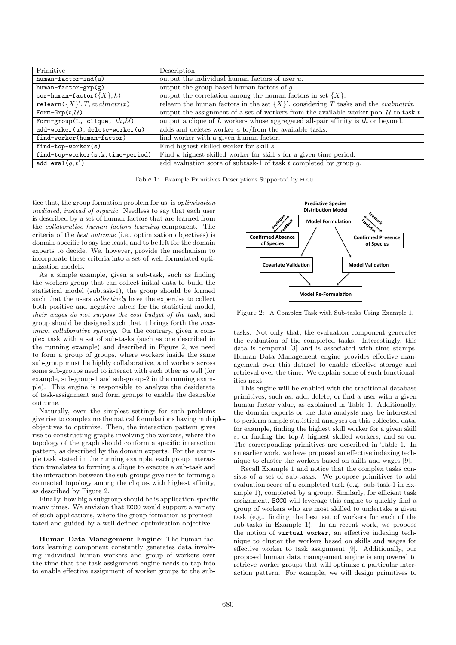| Primitive                          | Description                                                                                     |
|------------------------------------|-------------------------------------------------------------------------------------------------|
| $human-factor-ind(u)$              | output the individual human factors of user $u$ .                                               |
| $human-factor-grp(g)$              | output the group based human factors of $q$ .                                                   |
| cor-human-factor( $\{X\}, k$ )     | output the correlation among the human factors in set $\{X\}$ .                                 |
| relearn( $\{X\}'$ , T, evalmatrix) | relearn the human factors in the set ${X'}$ , considering T tasks and the <i>evalmatrix</i> .   |
| Form-Grp $(t, \mathcal{U})$        | output the assignment of a set of workers from the available worker pool $U$ to task t.         |
| Form-group(L, clique, $th$ , $U$ ) | output a clique of $L$ workers whose aggregated all-pair affinity is $\overline{t}h$ or beyond. |
| add-worker(u), delete-worker(u)    | adds and deletes worker $u$ to/from the available tasks.                                        |
| find-worker(human-factor)          | find worker with a given human factor.                                                          |
| $find-top-wordker(s)$              | Find highest skilled worker for skill s.                                                        |
| find-top-worker(s,k,time-period)   | Find $k$ highest skilled worker for skill $s$ for a given time period.                          |
| add-eval $(q,t^1)$                 | add evaluation score of subtask-1 of task $t$ completed by group $q$ .                          |

Table 1: Example Primitives Descriptions Supported by ECCO.

tice that, the group formation problem for us, is optimization mediated, instead of organic. Needless to say that each user is described by a set of human factors that are learned from the collaborative human factors learning component. The criteria of the best outcome (i.e., optimization objectives) is domain-specific to say the least, and to be left for the domain experts to decide. We, however, provide the mechanism to incorporate these criteria into a set of well formulated optimization models.

As a simple example, given a sub-task, such as finding the workers group that can collect initial data to build the statistical model (subtask-1), the group should be formed such that the users *collectively* have the expertise to collect both positive and negative labels for the statistical model, their wages do not surpass the cost budget of the task, and group should be designed such that it brings forth the maximum collaborative synergy. On the contrary, given a complex task with a set of sub-tasks (such as one described in the running example) and described in Figure 2, we need to form a group of groups, where workers inside the same sub-group must be highly collaborative, and workers across some sub-groups need to interact with each other as well (for example, sub-group-1 and sub-group-2 in the running example). This engine is responsible to analyze the desiderata of task-assignment and form groups to enable the desirable outcome.

Naturally, even the simplest settings for such problems give rise to complex mathematical formulations having multipleobjectives to optimize. Then, the interaction pattern gives rise to constructing graphs involving the workers, where the topology of the graph should conform a specific interaction pattern, as described by the domain experts. For the example task stated in the running example, each group interaction translates to forming a clique to execute a sub-task and the interaction between the sub-groups give rise to forming a connected topology among the cliques with highest affinity, as described by Figure 2.

Finally, how big a subgroup should be is application-specific many times. We envision that ECCO would support a variety of such applications, where the group formation is premeditated and guided by a well-defined optimization objective.

Human Data Management Engine: The human factors learning component constantly generates data involving individual human workers and group of workers over the time that the task assignment engine needs to tap into to enable effective assignment of worker groups to the sub-



Figure 2: A Complex Task with Sub-tasks Using Example 1.

tasks. Not only that, the evaluation component generates the evaluation of the completed tasks. Interestingly, this data is temporal [3] and is associated with time stamps. Human Data Management engine provides effective management over this dataset to enable effective storage and retrieval over the time. We explain some of such functionalities next.

This engine will be enabled with the traditional database primitives, such as, add, delete, or find a user with a given human factor value, as explained in Table 1. Additionally, the domain experts or the data analysts may be interested to perform simple statistical analyses on this collected data, for example, finding the highest skill worker for a given skill s, or finding the top-k highest skilled workers, and so on. The corresponding primitives are described in Table 1. In an earlier work, we have proposed an effective indexing technique to cluster the workers based on skills and wages [9].

Recall Example 1 and notice that the complex tasks consists of a set of sub-tasks. We propose primitives to add evaluation score of a completed task (e.g., sub-task-1 in Example 1), completed by a group. Similarly, for efficient task assignment, ECCO will leverage this engine to quickly find a group of workers who are most skilled to undertake a given task (e.g., finding the best set of workers for each of the sub-tasks in Example 1). In an recent work, we propose the notion of virtual worker, an effective indexing technique to cluster the workers based on skills and wages for effective worker to task assignment [9]. Additionally, our proposed human data management engine is empowered to retrieve worker groups that will optimize a particular interaction pattern. For example, we will design primitives to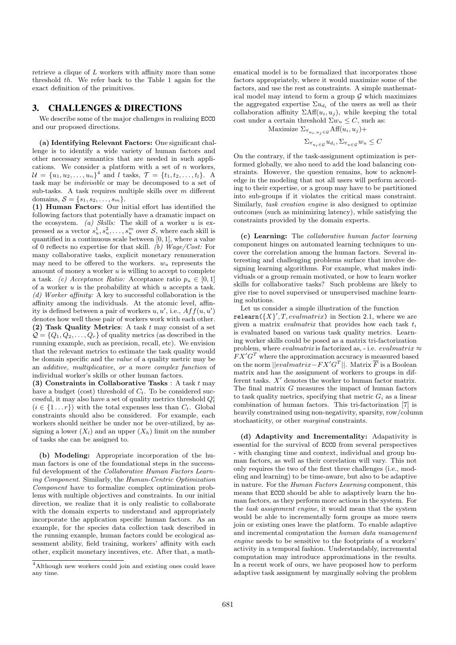retrieve a clique of L workers with affinity more than some threshold th. We refer back to the Table 1 again for the exact definition of the primitives.

#### 3. CHALLENGES & DIRECTIONS

We describe some of the major challenges in realizing ECCO and our proposed directions.

(a) Identifying Relevant Factors: One significant challenge is to identify a wide variety of human factors and other necessary semantics that are needed in such applications. We consider a platform with a set of  $n$  workers,  $\mathcal{U} = \{u_1, u_2, \dots, u_n\}^4$  and l tasks,  $\mathcal{T} = \{t_1, t_2, \dots, t_l\}$ . A task may be indivisible or may be decomposed to a set of sub-tasks. A task requires multiple skills over  $m$  different domains,  $S = \{s_1, s_2, \ldots, s_m\}.$ 

(1) Human Factors: Our initial effort has identified the following factors that potentially have a dramatic impact on the ecosystem. (a) Skills: The skill of a worker u is expressed as a vector  $s_u^1, s_u^2, \ldots, s_u^m$  over S, where each skill is quantified in a continuous scale between  $[0, 1]$ , where a value of 0 reflects no expertise for that skill. (b)  $Wage/Cost$ : For many collaborative tasks, explicit monetary remuneration may need to be offered to the workers.  $w_u$  represents the amount of money a worker  $u$  is willing to accept to complete a task. (c) Acceptance Ratio: Acceptance ratio  $p_u \in [0, 1]$ of a worker  $u$  is the probability at which  $u$  accepts a task. (d) Worker affinity: A key to successful collaboration is the affinity among the individuals. At the atomic level, affinity is defined between a pair of workers  $u, u'$ , i.e.,  $Aff(u, u')$ denotes how well these pair of workers work with each other. (2) Task Quality Metrics: A task  $t$  may consist of a set  $\mathcal{Q} = \{Q_1, Q_2, \ldots, Q_r\}$  of quality metrics (as described in the running example, such as precision, recall, etc). We envision that the relevant metrics to estimate the task quality would be domain specific and the value of a quality metric may be an additive, multiplicative, or a more complex function of individual worker's skills or other human factors.

(3) Constraints in Collaborative Tasks : A task  $t$  may have a budget (cost) threshold of  $C_t$ . To be considered successful, it may also have a set of quality metrics threshold  $Q_t^i$  $(i \in \{1 \dots r\})$  with the total expenses less than  $C_t$ . Global constraints should also be considered. For example, each workers should neither be under nor be over-utilized, by assigning a lower  $(X_l)$  and an upper  $(X_h)$  limit on the number of tasks she can be assigned to.

(b) Modeling: Appropriate incorporation of the human factors is one of the foundational steps in the successful development of the Collaborative Human Factors Learning Component. Similarly, the Human-Centric Optimization Component have to formalize complex optimization problems with multiple objectives and constraints. In our initial direction, we realize that it is only realistic to collaborate with the domain experts to understand and appropriately incorporate the application specific human factors. As an example, for the species data collection task described in the running example, human factors could be ecological assessment ability, field training, workers' affinity with each other, explicit monetary incentives, etc. After that, a math-

ematical model is to be formalized that incorporates those factors appropriately, where it would maximize some of the factors, and use the rest as constraints. A simple mathematical model may intend to form a group  $G$  which maximizes the aggregated expertise  $\Sigma u_{d_i}$  of the users as well as their collaboration affinity  $\Sigma Aff(u_i, u_j)$ , while keeping the total cost under a certain threshold  $\Sigma w_u \leq C$ , such as:

Maximize  $\Sigma_{\forall u_i, u_j \in \mathcal{G}} \text{Aff}(u_i, u_j) +$ 

$$
\Sigma_{\forall_{u_i \in \mathcal{G}}} u_{d_i}, \Sigma_{\forall_{u \in \mathcal{G}}} w_u \leq C
$$

On the contrary, if the task-assignment optimization is performed globally, we also need to add the load balancing constraints. However, the question remains, how to acknowledge in the modeling that not all users will perform according to their expertise, or a group may have to be partitioned into sub-groups if it violates the critical mass constraint. Similarly, task creation engine is also designed to optimize outcomes (such as minimizing latency), while satisfying the constraints provided by the domain experts.

(c) Learning: The collaborative human factor learning component hinges on automated learning techniques to uncover the correlation among the human factors. Several interesting and challenging problems surface that involve designing learning algorithms. For example, what makes individuals or a group remain motivated, or how to learn worker skills for collaborative tasks? Such problems are likely to give rise to novel supervised or unsupervised machine learning solutions.

Let us consider a simple illustration of the function relearn( $\{X\}'$ , T, evalmatrix) in Section 2.1, where we are given a matrix *evalmatrix* that provides how each task  $t_i$ is evaluated based on various task quality metrics. Learning worker skills could be posed as a matrix tri-factorization problem, where *evalmatrix* is factorized as, - i.e. *evalmatrix*  $\approx$  $FX'G^T$  where the approximation accuracy is measured based on the norm  $||evalmatrix - FX'G^T||$ . Matrix  $\overline{F}$  is a Boolean matrix and has the assignment of workers to groups in different tasks.  $X'$  denotes the worker to human factor matrix. The final matrix G measures the impact of human factors to task quality metrics, specifying that metric  $G_i$  as a linear combination of human factors. This tri-factorization [7] is heavily constrained using non-negativity, sparsity, row/column stochasticity, or other marginal constraints.

(d) Adaptivity and Incrementality: Adapativity is essential for the survival of ECCO from several perspectives - with changing time and context, individual and group human factors, as well as their correlation will vary. This not only requires the two of the first three challenges (i.e., modeling and learning) to be time-aware, but also to be adaptive in nature. For the Human Factors Learning component, this means that ECCO should be able to adaptively learn the human factors, as they perform more actions in the system. For the task assignment engine, it would mean that the system would be able to incrementally form groups as more users join or existing ones leave the platform. To enable adaptive and incremental computation the human data management engine needs to be sensitive to the footprints of a workers' activity in a temporal fashion. Understandably, incremental computation may introduce approximations in the results. In a recent work of ours, we have proposed how to perform adaptive task assignment by marginally solving the problem

<sup>4</sup>Although new workers could join and existing ones could leave any time.